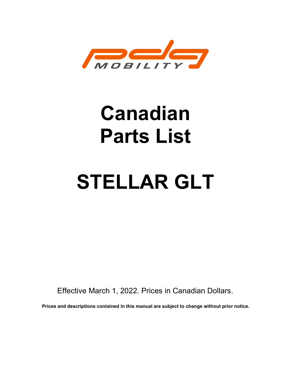

# Canadian Parts List

# STELLAR GLT

Effective March 1, 2022. Prices in Canadian Dollars.

Prices and descriptions contained in this manual are subject to change without prior notice.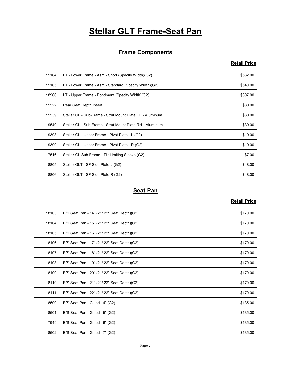# **Stellar GLT Frame-Seat Pan**

#### **Frame Components**

#### Retail Price

|       | <b>Stellar GLT Frame-Seat Pan</b>                        |                     |
|-------|----------------------------------------------------------|---------------------|
|       |                                                          |                     |
|       | <b>Frame Components</b>                                  |                     |
|       |                                                          | <b>Retail Price</b> |
| 19164 | LT - Lower Frame - Asm - Short (Specify Width)(G2)       | \$532.00            |
| 19165 | LT - Lower Frame - Asm - Standard (Specify Width)(G2)    | \$540.00            |
| 18966 | LT - Upper Frame - Bondment (Specify Width)(G2)          | \$307.00            |
| 19522 | Rear Seat Depth Insert                                   | \$80.00             |
| 19539 | Stellar GL - Sub-Frame - Strut Mount Plate LH - Aluminum | \$30.00             |
| 19540 | Stellar GL - Sub-Frame - Strut Mount Plate RH - Aluminum | \$30.00             |
| 19398 | Stellar GL - Upper Frame - Pivot Plate - L (G2)          | \$10.00             |
| 19399 | Stellar GL - Upper Frame - Pivot Plate - R (G2)          | \$10.00             |
| 17516 | Stellar GL Sub Frame - Tilt Limiting Sleeve (G2)         | \$7.00              |
| 18805 | Stellar GLT - SF Side Plate L (G2)                       | \$48.00             |
| 18806 | Stellar GLT - SF Side Plate R (G2)                       | \$48.00             |
|       | <b>Seat Pan</b>                                          |                     |
|       |                                                          | <b>Retail Price</b> |
| 18103 | B/S Seat Pan - 14" (21/ 22" Seat Depth)(G2)              | \$170.00            |
| 18104 | B/S Seat Pan - 15" (21/ 22" Seat Depth)(G2)              | \$170.00            |
| 18105 | B/S Seat Pan - 16" (21/ 22" Seat Depth)(G2)              | \$170.00            |
| 18106 | B/S Seat Pan - 17" (21/ 22" Seat Depth)(G2)              | \$170.00            |
| 18107 | B/S Seat Pan - 18" (21/22" Seat Depth)(G2)               | \$170.00            |
| 18108 | B/S Seat Pan - 19" (21/ 22" Seat Denth)(G2)              | \$170.00            |

#### **Seat Pan**

| 19540 | Stellar GL - Sub-Frame - Strut Mount Plate RH - Aluminum | \$30.00             |
|-------|----------------------------------------------------------|---------------------|
| 19398 | Stellar GL - Upper Frame - Pivot Plate - L (G2)          | \$10.00             |
| 19399 | Stellar GL - Upper Frame - Pivot Plate - R (G2)          | \$10.00             |
| 17516 | Stellar GL Sub Frame - Tilt Limiting Sleeve (G2)         | \$7.00              |
| 18805 | Stellar GLT - SF Side Plate L (G2)                       | \$48.00             |
| 18806 | Stellar GLT - SF Side Plate R (G2)                       | \$48.00             |
|       | <b>Seat Pan</b>                                          |                     |
|       |                                                          | <b>Retail Price</b> |
|       |                                                          |                     |
| 18103 | B/S Seat Pan - 14" (21/ 22" Seat Depth)(G2)              | \$170.00            |
| 18104 | B/S Seat Pan - 15" (21/ 22" Seat Depth)(G2)              | \$170.00            |
| 18105 | B/S Seat Pan - 16" (21/ 22" Seat Depth)(G2)              | \$170.00            |
| 18106 | B/S Seat Pan - 17" (21/ 22" Seat Depth)(G2)              | \$170.00            |
| 18107 | B/S Seat Pan - 18" (21/22" Seat Depth)(G2)               | \$170.00            |
| 18108 | B/S Seat Pan - 19" (21/ 22" Seat Depth)(G2)              | \$170.00            |
| 18109 | B/S Seat Pan - 20" (21/22" Seat Depth)(G2)               | \$170.00            |
| 18110 | B/S Seat Pan - 21" (21/ 22" Seat Depth)(G2)              | \$170.00            |
| 18111 | B/S Seat Pan - 22" (21/ 22" Seat Depth)(G2)              | \$170.00            |
| 18500 | B/S Seat Pan - Glued 14" (G2)                            | \$135.00            |
| 18501 | B/S Seat Pan - Glued 15" (G2)                            | \$135.00            |
| 17949 | B/S Seat Pan - Glued 16" (G2)                            | \$135.00            |
|       |                                                          |                     |
| 18502 | B/S Seat Pan - Glued 17" (G2)                            | \$135.00            |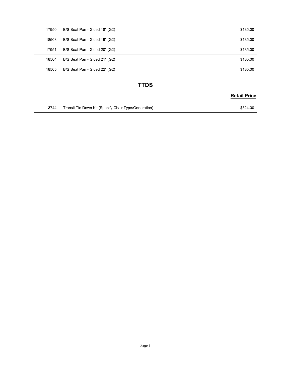| 17950 | B/S Seat Pan - Glued 18" (G2) | \$135.00            |
|-------|-------------------------------|---------------------|
| 18503 | B/S Seat Pan - Glued 19" (G2) | \$135.00            |
| 17951 | B/S Seat Pan - Glued 20" (G2) | \$135.00            |
| 18504 | B/S Seat Pan - Glued 21" (G2) | \$135.00            |
| 18505 | B/S Seat Pan - Glued 22" (G2) | \$135.00            |
|       |                               |                     |
|       | <b>TTDS</b>                   | <b>Retail Price</b> |

#### **TTDS**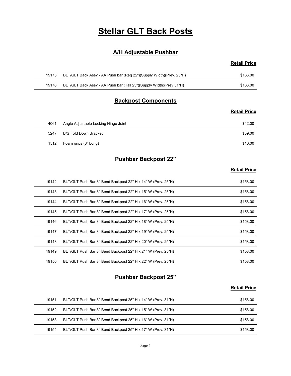## Stellar GLT Back Posts

#### A/H Adjustable Pushbar

#### Retail Price

|       | <b>Stellar GLT Back Posts</b>                                       |                     |
|-------|---------------------------------------------------------------------|---------------------|
|       |                                                                     |                     |
|       | <b>A/H Adjustable Pushbar</b>                                       |                     |
|       |                                                                     | <b>Retail Price</b> |
| 19175 | BLT/GLT Back Assy - AA Push bar (Reg 22")(Supply Width)(Prev. 25"H) | \$166.00            |
| 19176 | BLT/GLT Back Assy - AA Push bar (Tall 25")(Supply Width)(Prev 31"H) | \$166.00            |
|       |                                                                     |                     |
|       | <b>Backpost Components</b>                                          |                     |

#### Backpost Components

#### Retail Price

|       | <b>Stellar GLT Back Posts</b>                                       |                     |
|-------|---------------------------------------------------------------------|---------------------|
|       | <b>A/H Adjustable Pushbar</b>                                       |                     |
|       |                                                                     | <b>Retail Price</b> |
| 19175 | BLT/GLT Back Assy - AA Push bar (Reg 22")(Supply Width)(Prev. 25"H) | \$166.00            |
| 19176 | BLT/GLT Back Assy - AA Push bar (Tall 25")(Supply Width)(Prev 31"H) | \$166.00            |
|       | <b>Backpost Components</b>                                          |                     |
|       |                                                                     | <b>Retail Price</b> |
| 4061  | Angle Adjustable Locking Hinge Joint                                | \$42.00             |
| 5247  | <b>B/S Fold Down Bracket</b>                                        | \$59.00             |
|       | Foam grips (8" Long)                                                | \$10.00             |

#### Pushbar Backpost 22"

#### **Retail Price**

|       |                                                                     | <b>Retail Price</b> |
|-------|---------------------------------------------------------------------|---------------------|
| 19175 | BLT/GLT Back Assy - AA Push bar (Reg 22")(Supply Width)(Prev. 25"H) | \$166.00            |
| 19176 | BLT/GLT Back Assy - AA Push bar (Tall 25")(Supply Width)(Prev 31"H) | \$166.00            |
|       | <b>Backpost Components</b>                                          |                     |
|       |                                                                     | <b>Retail Price</b> |
| 4061  | Angle Adjustable Locking Hinge Joint                                | \$42.00             |
| 5247  | <b>B/S Fold Down Bracket</b>                                        | \$59.00             |
| 1512  | Foam grips (8" Long)                                                | \$10.00             |
|       | <b>Pushbar Backpost 22"</b>                                         |                     |
|       |                                                                     | <b>Retail Price</b> |
| 19142 | BLT/GLT Push Bar 8° Bend Backpost 22" H x 14" W (Prev. 25"H)        | \$158.00            |
| 19143 | BLT/GLT Push Bar 8° Bend Backpost 22" H x 15" W (Prev. 25"H)        | \$158.00            |
| 19144 | BLT/GLT Push Bar 8° Bend Backpost 22" H x 16" W (Prev. 25"H)        | \$158.00            |
| 19145 | BLT/GLT Push Bar 8° Bend Backpost 22" H x 17" W (Prev. 25"H)        | \$158.00            |
| 19146 | BLT/GLT Push Bar 8° Bend Backpost 22" H x 18" W (Prev. 25"H)        | \$158.00            |
| 19147 | BLT/GLT Push Bar 8° Bend Backpost 22" H x 19" W (Prev. 25"H)        | \$158.00            |
| 19148 | BLT/GLT Push Bar 8° Bend Backpost 22" H x 20" W (Prev. 25"H)        | \$158.00            |
| 19149 | BLT/GLT Push Bar 8° Bend Backpost 22" H x 21" W (Prev. 25"H)        | \$158.00            |
| 19150 | BLT/GLT Push Bar 8° Bend Backpost 22" H x 22" W (Prev. 25"H)        | \$158.00            |
|       | <b>Pushbar Backpost 25"</b>                                         |                     |
|       |                                                                     | <b>Retail Price</b> |
| 19151 | BLT/GLT Push Bar 8° Bend Backpost 25" H x 14" W (Prev. 31"H)        | \$158.00            |
| 19152 | BLT/GLT Push Bar 8° Bend Backpost 25" H x 15" W (Prev. 31"H)        | \$158.00            |
| 19153 | BLT/GLT Push Bar 8° Bend Backpost 25" H x 16" W (Prev. 31"H)        | \$158.00            |
|       |                                                                     | \$158.00            |

#### Pushbar Backpost 25"

| 19151 | BLT/GLT Push Bar 8° Bend Backpost 25" H x 14" W (Prev. 31"H) | \$158.00 |
|-------|--------------------------------------------------------------|----------|
| 19152 | BLT/GLT Push Bar 8° Bend Backpost 25" H x 15" W (Prev. 31"H) | \$158.00 |
| 19153 | BLT/GLT Push Bar 8° Bend Backpost 25" H x 16" W (Prev. 31"H) | \$158.00 |
| 19154 | BLT/GLT Push Bar 8° Bend Backpost 25" H x 17" W (Prev. 31"H) | \$158.00 |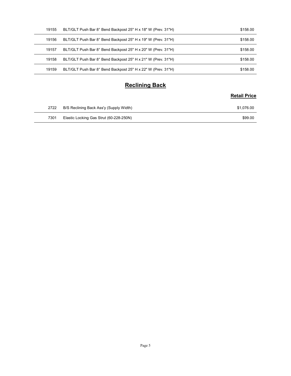| 19155 | BLT/GLT Push Bar 8° Bend Backpost 25" H x 18" W (Prev. 31"H) | \$158.00            |
|-------|--------------------------------------------------------------|---------------------|
| 19156 | BLT/GLT Push Bar 8° Bend Backpost 25" H x 19" W (Prev. 31"H) | \$158.00            |
| 19157 | BLT/GLT Push Bar 8° Bend Backpost 25" H x 20" W (Prev. 31"H) | \$158.00            |
|       | BLT/GLT Push Bar 8° Bend Backpost 25" H x 21" W (Prev. 31"H) | \$158.00            |
| 19158 |                                                              |                     |
| 19159 | BLT/GLT Push Bar 8° Bend Backpost 25" H x 22" W (Prev. 31"H) | \$158.00            |
|       | <b>Reclining Back</b>                                        |                     |
|       |                                                              | <b>Retail Price</b> |
| 2722  | B/S Reclining Back Ass'y (Supply Width)                      | \$1,076.00          |

#### Reclining Back

| 2722 | B/S Reclining Back Ass'y (Supply Width) | \$1.076.00 |
|------|-----------------------------------------|------------|
| 7301 | Elastic Locking Gas Strut (60-228-250N) | \$99.00    |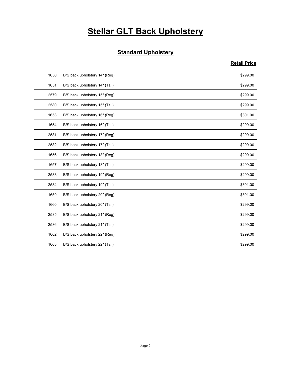# **Stellar GLT Back Upholstery**

#### **Standard Upholstery**

|      | <b>Stellar GLT Back Upholstery</b> |                     |
|------|------------------------------------|---------------------|
|      | <b>Standard Upholstery</b>         |                     |
|      |                                    | <b>Retail Price</b> |
| 1650 | B/S back upholstery 14" (Reg)      | \$299.00            |
| 1651 | B/S back upholstery 14" (Tall)     | \$299.00            |
| 2579 | B/S back upholstery 15" (Reg)      | \$299.00            |
| 2580 | B/S back upholstery 15" (Tall)     | \$299.00            |
| 1653 | B/S back upholstery 16" (Reg)      | \$301.00            |
| 1654 | B/S back upholstery 16" (Tall)     | \$299.00            |
| 2581 | B/S back upholstery 17" (Reg)      | \$299.00            |
| 2582 | B/S back upholstery 17" (Tall)     | \$299.00            |
| 1656 | B/S back upholstery 18" (Reg)      | \$299.00            |
| 1657 | B/S back upholstery 18" (Tall)     | \$299.00            |
| 2583 | B/S back upholstery 19" (Reg)      | \$299.00            |
| 2584 | B/S back upholstery 19" (Tall)     | \$301.00            |
| 1659 | B/S back upholstery 20" (Reg)      | \$301.00            |
| 1660 | B/S back upholstery 20" (Tall)     | \$299.00            |
| 2585 | B/S back upholstery 21" (Reg)      | \$299.00            |
| 2586 | B/S back upholstery 21" (Tall)     | \$299.00            |
| 1662 | B/S back upholstery 22" (Reg)      | \$299.00            |
| 1663 | B/S back upholstery 22" (Tall)     | \$299.00            |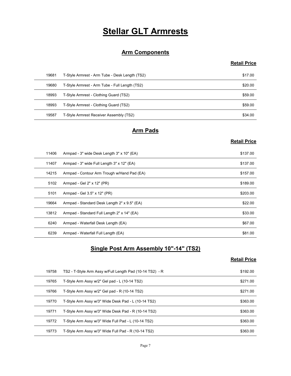# Stellar GLT Armrests

#### Arm Components

#### Retail Price

|       | <b>Stellar GLT Armrests</b>                    |                     |
|-------|------------------------------------------------|---------------------|
|       | <b>Arm Components</b>                          |                     |
|       |                                                | <b>Retail Price</b> |
| 19681 | T-Style Armrest - Arm Tube - Desk Length (TS2) | \$17.00             |
| 19680 | T-Style Armrest - Arm Tube - Full Length (TS2) | \$20.00             |
| 18993 | T-Style Armrest - Clothing Guard (TS2)         | \$59.00             |
| 18993 | T-Style Armrest - Clothing Guard (TS2)         | \$59.00             |
| 19587 | T-Style Armrest Receiver Assembly (TS2)        | \$34.00             |
|       | <b>Arm Pads</b>                                |                     |
|       |                                                | <b>Retail Price</b> |
| 11406 | Armpad - 3" wide Desk Length 3" x 10" (EA)     | \$137.00            |
| 11407 | Armpad - 3" wide Full Length 3" x 12" (EA)     | \$137.00            |
| 14215 | Armpad - Contour Arm Trough w/Hand Pad (EA)    | \$157.00            |
| 5102  | Armpad - Gel 2" x 12" (PR)                     | \$189.00            |
| 5101  | Armnad - Gel 3 5" y 12" (PR)                   | <b>A203.00</b>      |

#### Arm Pads

#### Retail Price

|       | <b>Arm Components</b>                                    |                     |
|-------|----------------------------------------------------------|---------------------|
|       |                                                          | <b>Retail Price</b> |
| 19681 | T-Style Armrest - Arm Tube - Desk Length (TS2)           | \$17.00             |
| 19680 | T-Style Armrest - Arm Tube - Full Length (TS2)           | \$20.00             |
| 18993 | T-Style Armrest - Clothing Guard (TS2)                   | \$59.00             |
| 18993 | T-Style Armrest - Clothing Guard (TS2)                   | \$59.00             |
| 19587 | T-Style Armrest Receiver Assembly (TS2)                  | \$34.00             |
|       | <b>Arm Pads</b>                                          |                     |
|       |                                                          | <b>Retail Price</b> |
| 11406 | Armpad - 3" wide Desk Length 3" x 10" (EA)               | \$137.00            |
| 11407 | Armpad - 3" wide Full Length 3" x 12" (EA)               | \$137.00            |
| 14215 | Armpad - Contour Arm Trough w/Hand Pad (EA)              | \$157.00            |
| 5102  | Armpad - Gel 2" x 12" (PR)                               | \$189.00            |
| 5101  | Armpad - Gel 3.5" x 12" (PR)                             | \$203.00            |
| 19664 | Armpad - Standard Desk Length 2" x 9.5" (EA)             | \$22.00             |
| 13812 | Armpad - Standard Full Length 2" x 14" (EA)              | \$33.00             |
| 6240  | Armpad - Waterfall Desk Length (EA)                      | \$67.00             |
| 6239  | Armpad - Waterfall Full Length (EA)                      | \$81.00             |
|       | Single Post Arm Assembly 10"-14" (TS2)                   |                     |
|       |                                                          | <b>Retail Price</b> |
| 19758 | TS2 - T-Style Arm Assy w/Full Length Pad (10-14 TS2) - R | \$192.00            |
| 19765 | T-Style Arm Assy w/2" Gel pad - L (10-14 TS2)            | \$271.00            |
| 19766 | T-Style Arm Assy w/2" Gel pad - R (10-14 TS2)            | \$271.00            |
| 19770 | T-Style Arm Assy w/3" Wide Desk Pad - L (10-14 TS2)      | \$363.00            |
| 19771 | T-Style Arm Assy w/3" Wide Desk Pad - R (10-14 TS2)      | \$363.00            |
| 19772 | T-Style Arm Assy w/3" Wide Full Pad - 1 (10-14 TS2)      | \$363.00            |

#### Single Post Arm Assembly 10"-14" (TS2)

| 5102  |                                                          |                     |
|-------|----------------------------------------------------------|---------------------|
|       | Armpad - Gel 2" x 12" (PR)                               | \$189.00            |
| 5101  | Armpad - Gel 3.5" x 12" (PR)                             | \$203.00            |
| 19664 | Armpad - Standard Desk Length 2" x 9.5" (EA)             | \$22.00             |
| 13812 | Armpad - Standard Full Length 2" x 14" (EA)              | \$33.00             |
| 6240  | Armpad - Waterfall Desk Length (EA)                      | \$67.00             |
| 6239  | Armpad - Waterfall Full Length (EA)                      | \$81.00             |
|       | Single Post Arm Assembly 10"-14" (TS2)                   | <b>Retail Price</b> |
| 19758 | TS2 - T-Style Arm Assy w/Full Length Pad (10-14 TS2) - R | \$192.00            |
|       | T-Style Arm Assy w/2" Gel pad - L (10-14 TS2)            | \$271.00            |
| 19765 |                                                          |                     |
| 19766 | T-Style Arm Assy w/2" Gel pad - R (10-14 TS2)            | \$271.00            |
| 19770 | T-Style Arm Assy w/3" Wide Desk Pad - L (10-14 TS2)      | \$363.00            |
| 19771 | T-Style Arm Assy w/3" Wide Desk Pad - R (10-14 TS2)      | \$363.00            |
| 19772 | T-Style Arm Assy w/3" Wide Full Pad - L (10-14 TS2)      | \$363.00            |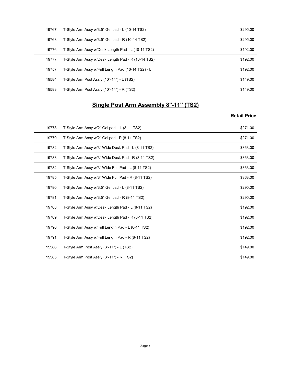| 19767 | T-Style Arm Assy w/3.5" Gel pad - L (10-14 TS2)    | \$295.00            |
|-------|----------------------------------------------------|---------------------|
| 19768 | T-Style Arm Assy w/3.5" Gel pad - R (10-14 TS2)    | \$295.00            |
| 19776 | T-Style Arm Assy w/Desk Length Pad - L (10-14 TS2) | \$192.00            |
| 19777 | T-Style Arm Assy w/Desk Length Pad - R (10-14 TS2) | \$192.00            |
| 19757 | T-Style Arm Assy w/Full Length Pad (10-14 TS2) - L | \$192.00            |
| 19584 | T-Style Arm Post Ass'y (10"-14") - L (TS2)         | \$149.00            |
| 19583 | T-Style Arm Post Ass'y (10"-14") - R (TS2)         | \$149.00            |
|       | Single Post Arm Assembly 8"-11" (TS2)              |                     |
|       |                                                    |                     |
|       |                                                    | <b>Retail Price</b> |
| 19778 | T-Style Arm Assy w/2" Gel pad - L (8-11 TS2)       | \$271.00            |
|       | T-Style Arm Assy w/2" Gel pad - R (8-11 TS2)       | \$271.00            |
| 19779 |                                                    |                     |
| 19782 | T-Style Arm Assy w/3" Wide Desk Pad - L (8-11 TS2) | \$363.00            |
| 19783 | T-Style Arm Assy w/3" Wide Desk Pad - R (8-11 TS2) | \$363.00            |
| 19784 | T-Style Arm Assy w/3" Wide Full Pad - L (8-11 TS2) | \$363.00            |

#### Single Post Arm Assembly 8"-11" (TS2)

| 19768 | T-Style Arm Assy w/3.5" Gel pad - R (10-14 TS2)    | \$295.00            |
|-------|----------------------------------------------------|---------------------|
| 19776 | T-Style Arm Assy w/Desk Length Pad - L (10-14 TS2) | \$192.00            |
| 19777 | T-Style Arm Assy w/Desk Length Pad - R (10-14 TS2) | \$192.00            |
| 19757 | T-Style Arm Assy w/Full Length Pad (10-14 TS2) - L | \$192.00            |
| 19584 | T-Style Arm Post Ass'y (10"-14") - L (TS2)         | \$149.00            |
| 19583 | T-Style Arm Post Ass'y (10"-14") - R (TS2)         | \$149.00            |
|       | <b>Single Post Arm Assembly 8"-11" (TS2)</b>       | <b>Retail Price</b> |
| 19778 | T-Style Arm Assy w/2" Gel pad - L (8-11 TS2)       | \$271.00            |
| 19779 | T-Style Arm Assy w/2" Gel pad - R (8-11 TS2)       | \$271.00            |
| 19782 | T-Style Arm Assy w/3" Wide Desk Pad - L (8-11 TS2) | \$363.00            |
| 19783 | T-Style Arm Assy w/3" Wide Desk Pad - R (8-11 TS2) | \$363.00            |
| 19784 | T-Style Arm Assy w/3" Wide Full Pad - L (8-11 TS2) | \$363.00            |
| 19785 | T-Style Arm Assy w/3" Wide Full Pad - R (8-11 TS2) | \$363.00            |
| 19780 | T-Style Arm Assy w/3.5" Gel pad - L (8-11 TS2)     | \$295.00            |
| 19781 | T-Style Arm Assy w/3.5" Gel pad - R (8-11 TS2)     | \$295.00            |
| 19788 | T-Style Arm Assy w/Desk Length Pad - L (8-11 TS2)  | \$192.00            |
| 19789 | T-Style Arm Assy w/Desk Length Pad - R (8-11 TS2)  | \$192.00            |
| 19790 | T-Style Arm Assy w/Full Length Pad - L (8-11 TS2)  | \$192.00            |
| 19791 | T-Style Arm Assy w/Full Length Pad - R (8-11 TS2)  | \$192.00            |
| 19586 | T-Style Arm Post Ass'y (8"-11") - L (TS2)          | \$149.00            |
| 19585 | T-Style Arm Post Ass'y (8"-11") - R (TS2)          | \$149.00            |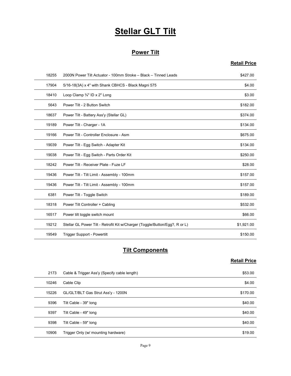# Stellar GLT Tilt

#### Power Tilt

#### Retail Price

|       | <b>Stellar GLT Tilt</b>                                                     |                     |
|-------|-----------------------------------------------------------------------------|---------------------|
|       |                                                                             |                     |
|       | <b>Power Tilt</b>                                                           |                     |
|       |                                                                             | <b>Retail Price</b> |
| 18255 | 2000N Power Tilt Actuator - 100mm Stroke - Black - Tinned Leads             | \$427.00            |
| 17904 | 5/16-18(3A) x 4" with Shank CBHCS - Black Magni 575                         | \$4.00              |
| 18410 | Loop Clamp 3/4" ID x 2" Long                                                | \$3.00              |
| 5643  | Power Tilt - 2 Button Switch                                                | \$182.00            |
| 18637 | Power Tilt - Battery Ass'y (Stellar GL)                                     | \$374.00            |
| 19189 | Power Tilt - Charger - 1A                                                   | \$134.00            |
| 19166 | Power Tilt - Controller Enclosure - Asm                                     | \$675.00            |
| 19039 | Power Tilt - Egg Switch - Adapter Kit                                       | \$134.00            |
| 19038 | Power Tilt - Egg Switch - Parts Order Kit                                   | \$250.00            |
| 18242 | Power Tilt - Receiver Plate - Fuze LF                                       | \$28.00             |
| 19436 | Power Tilt - Tilt Limit - Assembly - 100mm                                  | \$157.00            |
| 19436 | Power Tilt - Tilt Limit - Assembly - 100mm                                  | \$157.00            |
| 6381  | Power Tilt - Toggle Switch                                                  | \$189.00            |
| 18318 | Power Tilt Controller + Cabling                                             | \$532.00            |
| 16517 | Power tilt toggle switch mount                                              | \$66.00             |
| 19212 | Stellar GL Power Tilt - Retrofit Kit w/Charger (Toggle/Button/Egg?, R or L) | \$1,921.00          |
| 19549 | Trigger Support - Powertilt                                                 | \$150.00            |
|       |                                                                             |                     |
|       | <b>Tilt Components</b>                                                      |                     |
|       |                                                                             | <b>Retail Price</b> |
| 2173  | Cable & Trigger Ass'y (Specify cable length)                                | \$53.00             |
| 10246 | Cable Clip                                                                  | \$4.00              |
| 15226 | GL/GLT/BLT Gas Strut Ass'y - 1200N                                          | \$170.00            |
| 9396  | Tilt Cable - 39" long                                                       | \$40.00             |
| 9397  | Tilt Cable - 49" long                                                       | \$40.00             |
| 9398  | Tilt Cable - 59" Iong                                                       | \$40.00             |

#### **Tilt Components**

| Power Tilt - Tilt Limit - Assembly - 100mm<br>\$157.00<br>19436<br>Power Tilt - Toggle Switch<br>\$189.00<br>6381<br>Power Tilt Controller + Cabling<br>18318<br>\$532.00<br>16517<br>Power tilt toggle switch mount<br>\$66.00<br>Stellar GL Power Tilt - Retrofit Kit w/Charger (Toggle/Button/Egg?, R or L)<br>19212<br>\$1,921.00<br>19549<br>Trigger Support - Powertilt<br>\$150.00<br><b>Tilt Components</b><br><b>Retail Price</b><br>Cable & Trigger Ass'y (Specify cable length)<br>\$53.00<br>2173<br>10246<br>\$4.00<br>Cable Clip<br>15226<br>GL/GLT/BLT Gas Strut Ass'y - 1200N<br>\$170.00<br>Tilt Cable - 39" long<br>\$40.00<br>9396<br>9397<br>Tilt Cable - 49" long<br>\$40.00<br>Tilt Cable - 59" long<br>\$40.00<br>9398<br>Trigger Only (w/ mounting hardware)<br>10906<br>\$19.00<br>Page 9 |  |  |
|--------------------------------------------------------------------------------------------------------------------------------------------------------------------------------------------------------------------------------------------------------------------------------------------------------------------------------------------------------------------------------------------------------------------------------------------------------------------------------------------------------------------------------------------------------------------------------------------------------------------------------------------------------------------------------------------------------------------------------------------------------------------------------------------------------------------|--|--|
|                                                                                                                                                                                                                                                                                                                                                                                                                                                                                                                                                                                                                                                                                                                                                                                                                    |  |  |
|                                                                                                                                                                                                                                                                                                                                                                                                                                                                                                                                                                                                                                                                                                                                                                                                                    |  |  |
|                                                                                                                                                                                                                                                                                                                                                                                                                                                                                                                                                                                                                                                                                                                                                                                                                    |  |  |
|                                                                                                                                                                                                                                                                                                                                                                                                                                                                                                                                                                                                                                                                                                                                                                                                                    |  |  |
|                                                                                                                                                                                                                                                                                                                                                                                                                                                                                                                                                                                                                                                                                                                                                                                                                    |  |  |
|                                                                                                                                                                                                                                                                                                                                                                                                                                                                                                                                                                                                                                                                                                                                                                                                                    |  |  |
|                                                                                                                                                                                                                                                                                                                                                                                                                                                                                                                                                                                                                                                                                                                                                                                                                    |  |  |
|                                                                                                                                                                                                                                                                                                                                                                                                                                                                                                                                                                                                                                                                                                                                                                                                                    |  |  |
|                                                                                                                                                                                                                                                                                                                                                                                                                                                                                                                                                                                                                                                                                                                                                                                                                    |  |  |
|                                                                                                                                                                                                                                                                                                                                                                                                                                                                                                                                                                                                                                                                                                                                                                                                                    |  |  |
|                                                                                                                                                                                                                                                                                                                                                                                                                                                                                                                                                                                                                                                                                                                                                                                                                    |  |  |
|                                                                                                                                                                                                                                                                                                                                                                                                                                                                                                                                                                                                                                                                                                                                                                                                                    |  |  |
|                                                                                                                                                                                                                                                                                                                                                                                                                                                                                                                                                                                                                                                                                                                                                                                                                    |  |  |
|                                                                                                                                                                                                                                                                                                                                                                                                                                                                                                                                                                                                                                                                                                                                                                                                                    |  |  |
|                                                                                                                                                                                                                                                                                                                                                                                                                                                                                                                                                                                                                                                                                                                                                                                                                    |  |  |
|                                                                                                                                                                                                                                                                                                                                                                                                                                                                                                                                                                                                                                                                                                                                                                                                                    |  |  |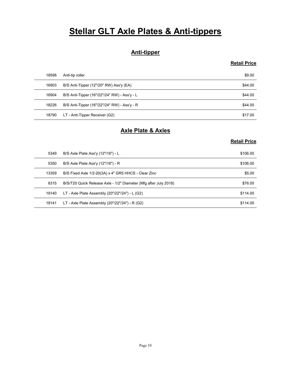# Stellar GLT Axle Plates & Anti-tippers

#### Anti-tipper

#### Retail Price

|       | <b>Stellar GLT Axle Plates &amp; Anti-tippers</b>                |                     |
|-------|------------------------------------------------------------------|---------------------|
|       |                                                                  |                     |
|       | <b>Anti-tipper</b>                                               | <b>Retail Price</b> |
|       |                                                                  |                     |
| 18598 | Anti-tip roller                                                  | \$9.00              |
| 16903 | B/S Anti-Tipper (12"/20" RW) Ass'y (EA)                          | \$44.00             |
| 16904 | B/S Anti-Tipper (16"/22"/24" RW) - Ass'y - L                     | \$44.00             |
| 18226 | B/S Anti-Tipper (16"/22"/24" RW) - Ass'y - R                     | \$44.00             |
| 18790 | LT - Anti-Tipper Receiver (G2)                                   | \$17.00             |
|       | <b>Axle Plate &amp; Axles</b>                                    |                     |
|       |                                                                  | <b>Retail Price</b> |
| 5349  | B/S Axle Plate Ass'y (12"/16") - L                               | \$106.00            |
| 5350  | B/S Axle Plate Ass'y (12"/16") - R                               | \$106.00            |
| 13359 | B/S Fixed Axle 1/2-20(3A) x 4" GR5 HHCS - Clear Zinc             | \$5.00              |
| 8315  | B/S/T20 Quick Release Axle - 1/2" Diameter (Mfg after July 2018) | \$76.00             |
| 10140 | $IT$ , Ayle Plate Assembly (20"/22"/24"), $I$ (G2)               | \$114.00            |

#### Axle Plate & Axles

| <b>Anti-tipper</b> |                                                                  |                     |
|--------------------|------------------------------------------------------------------|---------------------|
|                    |                                                                  | <b>Retail Price</b> |
| 18598              | Anti-tip roller                                                  | \$9.00              |
| 16903              | B/S Anti-Tipper (12"/20" RW) Ass'y (EA)                          | \$44.00             |
| 16904              | B/S Anti-Tipper (16"/22"/24" RW) - Ass'y - L                     | \$44.00             |
| 18226              | B/S Anti-Tipper (16"/22"/24" RW) - Ass'y - R                     | \$44.00             |
| 18790              | LT - Anti-Tipper Receiver (G2)                                   | \$17.00             |
|                    | <b>Axle Plate &amp; Axles</b>                                    |                     |
|                    |                                                                  | <b>Retail Price</b> |
| 5349               | B/S Axle Plate Ass'y (12"/16") - L                               | \$106.00            |
| 5350               | B/S Axle Plate Ass'y (12"/16") - R                               | \$106.00            |
| 13359              | B/S Fixed Axle 1/2-20(3A) x 4" GR5 HHCS - Clear Zinc             | \$5.00              |
| 8315               | B/S/T20 Quick Release Axle - 1/2" Diameter (Mfg after July 2018) | \$76.00             |
| 19140              | LT - Axle Plate Assembly (20"/22"/24") - L (G2)                  | \$114.00            |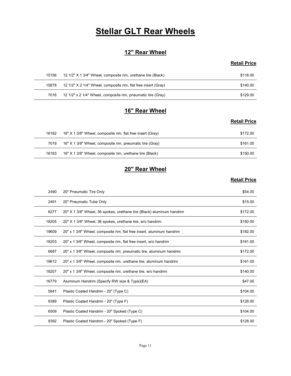# **Stellar GLT Rear Wheels**

#### 12" Rear Wheel

#### Retail Price

|       | <b>Stellar GLT Rear Wheels</b>                                 |                     |
|-------|----------------------------------------------------------------|---------------------|
|       |                                                                |                     |
|       | 12" Rear Wheel                                                 |                     |
|       |                                                                | <b>Retail Price</b> |
|       |                                                                |                     |
| 15156 | 12 1/2" X 1 3/4" Wheel, composite rim, urethane tire (Black)   | \$118.00            |
| 15878 | 12 1/2" X 2 1/4" Wheel, composite rim, flat free insert (Gray) | \$140.00            |
| 7016  | 12 1/2" x 2 1/4" Wheel, composite rim, pneumatic tire (Gray)   | \$129.00            |
|       |                                                                |                     |
|       | 16" Rear Wheel                                                 | <b>Retail Price</b> |

#### 16" Rear Wheel

#### Retail Price

|       | <b>Stellar GLT Rear Wheels</b>                                 |                     |
|-------|----------------------------------------------------------------|---------------------|
|       | 12" Rear Wheel                                                 |                     |
|       |                                                                | <b>Retail Price</b> |
| 15156 | 12 1/2" X 1 3/4" Wheel, composite rim, urethane tire (Black)   | \$118.00            |
| 15878 | 12 1/2" X 2 1/4" Wheel, composite rim, flat free insert (Gray) | \$140.00            |
| 7016  | 12 1/2" x 2 1/4" Wheel, composite rim, pneumatic tire (Gray)   | \$129.00            |
|       | 16" Rear Wheel                                                 |                     |
|       |                                                                | <b>Retail Price</b> |
| 16182 | 16" X 1 3/8" Wheel, composite rim, flat free insert (Gray)     | \$172.00            |
| 7019  | 16" X 1 3/8" Wheel, composite rim, pneumatic tire (Gray)       | \$161.00            |
| 16183 | 16" X 1 3/8" Wheel, composite rim, urethane tire (Black)       | \$150.00            |
|       | 20" Rear Wheel                                                 |                     |
|       |                                                                | <b>Retail Price</b> |

#### 20" Rear Wheel

| 15156 | 12 1/2" X 1 3/4" Wheel, composite rim, urethane tire (Black)          | \$118.00            |
|-------|-----------------------------------------------------------------------|---------------------|
| 15878 | 12 1/2" X 2 1/4" Wheel, composite rim, flat free insert (Gray)        | \$140.00            |
| 7016  | 12 1/2" x 2 1/4" Wheel, composite rim, pneumatic tire (Gray)          | \$129.00            |
|       |                                                                       |                     |
|       | 16" Rear Wheel                                                        |                     |
|       |                                                                       | <b>Retail Price</b> |
| 16182 | 16" X 1 3/8" Wheel, composite rim, flat free insert (Gray)            | \$172.00            |
| 7019  | 16" X 1 3/8" Wheel, composite rim, pneumatic tire (Gray)              | \$161.00            |
| 16183 | 16" X 1 3/8" Wheel, composite rim, urethane tire (Black)              | \$150.00            |
|       |                                                                       |                     |
|       | 20" Rear Wheel                                                        |                     |
|       |                                                                       | <b>Retail Price</b> |
| 2490  | 20" Pneumatic Tire Only                                               | \$54.00             |
| 2491  | 20" Pneumatic Tube Only                                               | \$15.00             |
| 8277  | 20" X 1 3/8" Wheel, 36 spokes, urethane tire (Black) aluminum handrim | \$172.00            |
| 18205 | 20" X 1 3/8" Wheel, 36 spokes, urethane tire, w/o handrim             | \$150.00            |
| 19609 | 20" x 1 3/8" Wheel, composite rim, flat free insert, aluminum handrim | \$182.00            |
| 18203 | 20" x 1 3/8" Wheel, composite rim, flat free insert, w/o handrim      | \$161.00            |
| 6687  | 20" x 1 3/8" Wheel, composite rim, pneumatic tire, aluminum handrim   | \$172.00            |
| 19612 | 20" x 1 3/8" Wheel, composite rim, urethane tire, aluminum handrim    | \$161.00            |
| 18207 | 20" x 1 3/8" Wheel, composite rim, urethane tire, w/o handrim         | \$140.00            |
| 16779 | Aluminum Handrim (Specify RW size & Type)(EA)                         | \$47.00             |
| 5841  | Plastic Coated Handrim - 20" (Type C)                                 | \$104.00            |
| 9389  | Plastic Coated Handrim - 20" (Type F)                                 | \$128.00            |
| 6509  | Plastic Coated Handrim - 20" Spoked (Type C)                          | \$104.00            |
|       |                                                                       | \$128.00            |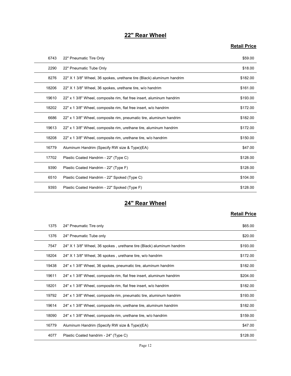#### 22" Rear Wheel

#### Retail Price

|       | 22" Rear Wheel                                                        |                     |
|-------|-----------------------------------------------------------------------|---------------------|
|       |                                                                       | <b>Retail Price</b> |
| 6743  | 22" Pneumatic Tire Only                                               | \$59.00             |
| 2290  | 22" Pneumatic Tube Only                                               | \$18.00             |
| 8276  | 22" X 1 3/8" Wheel, 36 spokes, urethane tire (Black) aluminum handrim | \$182.00            |
| 18206 | 22" X 1 3/8" Wheel, 36 spokes, urethane tire, w/o handrim             | \$161.00            |
| 19610 | 22" x 1 3/8" Wheel, composite rim, flat free insert, aluminum handrim | \$193.00            |
| 18202 | 22" x 1 3/8" Wheel, composite rim, flat free insert, w/o handrim      | \$172.00            |
| 6686  | 22" x 1 3/8" Wheel, composite rim, pneumatic tire, aluminum handrim   | \$182.00            |
| 19613 | 22" x 1 3/8" Wheel, composite rim, urethane tire, aluminum handrim    | \$172.00            |
| 18208 | 22" x 1 3/8" Wheel, composite rim, urethane tire, w/o handrim         | \$150.00            |
| 16779 | Aluminum Handrim (Specify RW size & Type)(EA)                         | \$47.00             |
| 17702 | Plastic Coated Handrim - 22" (Type C)                                 | \$128.00            |
| 9390  | Plastic Coated Handrim - 22" (Type F)                                 | \$128.00            |
| 6510  | Plastic Coated Handrim - 22" Spoked (Type C)                          | \$104.00            |
| 9393  | Plastic Coated Handrim - 22" Spoked (Type F)                          | \$128.00            |
|       | 24" Rear Wheel                                                        |                     |
|       |                                                                       | <b>Retail Price</b> |
| 1375  | 24" Pneumatic Tire only                                               | \$65.00             |
| 1376  | 24" Pneumatic Tube only                                               | \$20.00             |
| 7547  | 24" X 1 3/8" Wheel, 36 spokes, urethane tire (Black) aluminum handrim | \$193.00            |
| 18204 | 24" X 1 3/8" Wheel, 36 spokes, urethane tire, w/o handrim             | \$172.00            |
| 19438 | 24" x 1 3/8" Wheel, 36 spokes, pneumatic tire, aluminum handrim       | \$182.00            |
| 19611 | 24" x 1 3/8" Wheel composite rim flat free insert aluminum handrim    | \$204.00            |

#### 24" Rear Wheel

| 18208 | 22" x 1 3/8" Wheel, composite rim, urethane tire, w/o handrim         | \$150.00            |
|-------|-----------------------------------------------------------------------|---------------------|
| 16779 | Aluminum Handrim (Specify RW size & Type)(EA)                         | \$47.00             |
| 17702 | Plastic Coated Handrim - 22" (Type C)                                 | \$128.00            |
| 9390  | Plastic Coated Handrim - 22" (Type F)                                 | \$128.00            |
| 6510  | Plastic Coated Handrim - 22" Spoked (Type C)                          | \$104.00            |
| 9393  | Plastic Coated Handrim - 22" Spoked (Type F)                          | \$128.00            |
|       | 24" Rear Wheel                                                        |                     |
|       |                                                                       | <b>Retail Price</b> |
| 1375  | 24" Pneumatic Tire only                                               | \$65.00             |
| 1376  | 24" Pneumatic Tube only                                               | \$20.00             |
| 7547  | 24" X 1 3/8" Wheel, 36 spokes, urethane tire (Black) aluminum handrim | \$193.00            |
| 18204 | 24" X 1 3/8" Wheel, 36 spokes, urethane tire, w/o handrim             | \$172.00            |
| 19438 | 24" x 1 3/8" Wheel, 36 spokes, pneumatic tire, aluminum handrim       | \$182.00            |
| 19611 | 24" x 1 3/8" Wheel, composite rim, flat free insert, aluminum handrim | \$204.00            |
| 18201 | 24" x 1 3/8" Wheel, composite rim, flat free insert, w/o handrim      | \$182.00            |
| 19792 | 24" x 1 3/8" Wheel, composite rim, pneumatic tire, aluminum handrim   | \$193.00            |
| 19614 | 24" x 1 3/8" Wheel, composite rim, urethane tire, aluminum handrim    | \$182.00            |
| 18090 | 24" x 1 3/8" Wheel, composite rim, urethane tire, w/o handrim         | \$159.00            |
| 16779 | Aluminum Handrim (Specify RW size & Type)(EA)                         | \$47.00             |
| 4077  | Plastic Coated handrim - 24" (Type C)                                 | \$128.00            |
|       | Page 12                                                               |                     |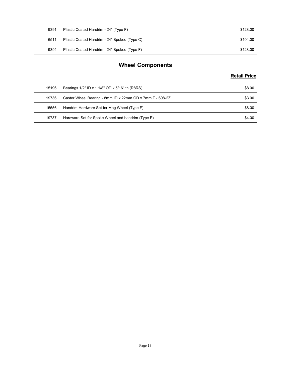| 9391 | Plastic Coated Handrim - 24" (Type F)        | \$128.00            |
|------|----------------------------------------------|---------------------|
| 6511 | Plastic Coated Handrim - 24" Spoked (Type C) | \$104.00            |
| 9394 | Plastic Coated Handrim - 24" Spoked (Type F) | \$128.00            |
|      |                                              |                     |
|      | <b>Wheel Components</b>                      |                     |
|      |                                              | <b>Retail Price</b> |

#### Wheel Components

| 9391  | Plastic Coated Handrim - 24" (Type F)                    | \$128.00            |
|-------|----------------------------------------------------------|---------------------|
| 6511  | Plastic Coated Handrim - 24" Spoked (Type C)             | \$104.00            |
| 9394  | Plastic Coated Handrim - 24" Spoked (Type F)             | \$128.00            |
|       | <b>Wheel Components</b>                                  |                     |
|       |                                                          | <b>Retail Price</b> |
| 15196 | Bearings 1/2" ID x 1 1/8" OD x 5/16" th (R8RS)           | \$8.00              |
|       |                                                          | \$3.00              |
| 19736 | Caster Wheel Bearing - 8mm ID x 22mm OD x 7mm T - 608-2Z |                     |
| 15556 | Handrim Hardware Set for Mag Wheel (Type F)              | \$8.00              |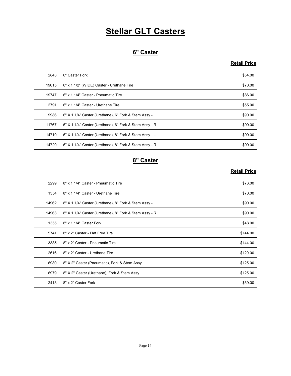# **Stellar GLT Casters**

#### 6" Caster

#### Retail Price

|       | <b>Stellar GLT Casters</b>                             |                     |
|-------|--------------------------------------------------------|---------------------|
|       |                                                        |                     |
|       | 6" Caster                                              |                     |
|       |                                                        | <b>Retail Price</b> |
| 2843  | 6" Caster Fork                                         | \$54.00             |
| 19615 | 6" x 1 1/2" (WIDE) Caster - Urethane Tire              | \$70.00             |
| 19747 | 6" x 1 1/4" Caster - Pneumatic Tire                    | \$86.00             |
| 2791  | 6" x 1 1/4" Caster - Urethane Tire                     | \$55.00             |
| 9986  | 6" X 1 1/4" Caster (Urethane), 6" Fork & Stem Assy - L | \$90.00             |
| 11767 | 6" X 1 1/4" Caster (Urethane), 6" Fork & Stem Assy - R | \$90.00             |
| 14719 | 6" X 1 1/4" Caster (Urethane), 8" Fork & Stem Assy - L | \$90.00             |
| 14720 | 6" X 1 1/4" Caster (Urethane), 8" Fork & Stem Assy - R | \$90.00             |
|       | 8" Caster                                              |                     |
|       |                                                        | <b>Retail Price</b> |
| 2299  | 8" x 1 1/4" Caster - Pneumatic Tire                    | \$73.00             |
| 1354  | 8" x 1 1/4" Caster - Urethane Tire                     | \$70.00             |
| 14962 | 8" X 1 1/4" Caster (Urethane), 8" Fork & Stem Assy - L | \$90.00             |
| 14963 | 8" X 1 1/4" Caster (Urethane), 8" Fork & Stem Assy - R | \$90.00             |
| 1355  | 8" x 1 1/4" Caster Fork                                | \$48.00             |
| 5741  | 8" x 2" Caster - Flat Free Tire                        | \$144.00            |

#### 8" Caster

| 19747 | 6" x 1 1/4" Caster - Pneumatic Tire                    | \$86.00             |
|-------|--------------------------------------------------------|---------------------|
| 2791  | 6" x 1 1/4" Caster - Urethane Tire                     | \$55.00             |
| 9986  | 6" X 1 1/4" Caster (Urethane), 6" Fork & Stem Assy - L | \$90.00             |
| 11767 | 6" X 1 1/4" Caster (Urethane), 6" Fork & Stem Assy - R | \$90.00             |
| 14719 | 6" X 1 1/4" Caster (Urethane), 8" Fork & Stem Assy - L | \$90.00             |
| 14720 | 6" X 1 1/4" Caster (Urethane), 8" Fork & Stem Assy - R | \$90.00             |
|       | 8" Caster                                              |                     |
|       |                                                        | <b>Retail Price</b> |
| 2299  | 8" x 1 1/4" Caster - Pneumatic Tire                    | \$73.00             |
| 1354  | 8" x 1 1/4" Caster - Urethane Tire                     | \$70.00             |
| 14962 | 8" X 1 1/4" Caster (Urethane), 8" Fork & Stem Assy - L | \$90.00             |
| 14963 | 8" X 1 1/4" Caster (Urethane), 8" Fork & Stem Assy - R | \$90.00             |
| 1355  | 8" x 1 1/4" Caster Fork                                | \$48.00             |
| 5741  | 8" x 2" Caster - Flat Free Tire                        | \$144.00            |
| 3385  | 8" x 2" Caster - Pneumatic Tire                        | \$144.00            |
| 2616  | 8" x 2" Caster - Urethane Tire                         | \$120.00            |
| 6980  | 8" X 2" Caster (Pneumatic), Fork & Stem Assy           | \$125.00            |
| 6979  | 8" X 2" Caster (Urethane), Fork & Stem Assy            | \$125.00            |
| 2413  | 8" x 2" Caster Fork                                    | \$59.00             |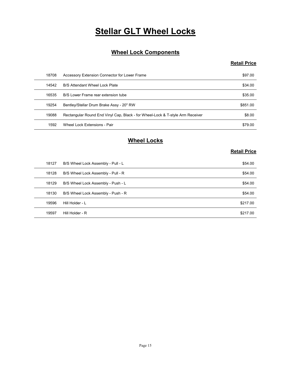# **Stellar GLT Wheel Locks**

#### Wheel Lock Components

#### Retail Price

|       | <b>Stellar GLT Wheel Locks</b>                                                 |                     |
|-------|--------------------------------------------------------------------------------|---------------------|
|       |                                                                                |                     |
|       | <b>Wheel Lock Components</b>                                                   |                     |
|       |                                                                                | <b>Retail Price</b> |
| 18708 | Accessory Extension Connector for Lower Frame                                  | \$97.00             |
| 14542 | B/S Attendant Wheel Lock Plate                                                 | \$34.00             |
| 16535 | B/S Lower Frame rear extension tube                                            | \$35.00             |
| 19254 | Bentley/Stellar Drum Brake Assy - 20" RW                                       | \$851.00            |
| 19088 | Rectangular Round End Vinyl Cap, Black - for Wheel-Lock & T-style Arm Receiver | \$8.00              |
| 1592  | Wheel Lock Extensions - Pair                                                   | \$79.00             |
|       | <b>Wheel Locks</b>                                                             |                     |
|       |                                                                                | <b>Retail Price</b> |
| 18127 | B/S Wheel Lock Assembly - Pull - L                                             | \$54.00             |
| 18128 | B/S Wheel Lock Assembly - Pull - R                                             | \$54.00             |
| 18129 | B/S Wheel Lock Assembly - Push - L                                             | \$54.00             |
| 18130 | B/S Wheel Lock Assembly - Push - R                                             | \$54.00             |
| 19596 | Hill Holder - L                                                                | \$217.00            |
| 10507 | Hill Holder - R                                                                | \$217.00            |

#### Wheel Locks

| 18708 | Accessory Extension Connector for Lower Frame                                  | \$97.00             |
|-------|--------------------------------------------------------------------------------|---------------------|
| 14542 | B/S Attendant Wheel Lock Plate                                                 | \$34.00             |
| 16535 | B/S Lower Frame rear extension tube                                            | \$35.00             |
| 19254 | Bentley/Stellar Drum Brake Assy - 20" RW                                       | \$851.00            |
| 19088 | Rectangular Round End Vinyl Cap, Black - for Wheel-Lock & T-style Arm Receiver | \$8.00              |
| 1592  | Wheel Lock Extensions - Pair                                                   | \$79.00             |
|       | <b>Wheel Locks</b>                                                             | <b>Retail Price</b> |
| 18127 | B/S Wheel Lock Assembly - Pull - L                                             | \$54.00             |
| 18128 | B/S Wheel Lock Assembly - Pull - R                                             | \$54.00             |
| 18129 | B/S Wheel Lock Assembly - Push - L                                             | \$54.00             |
| 18130 | B/S Wheel Lock Assembly - Push - R                                             | \$54.00             |
| 19596 | Hill Holder - L                                                                | \$217.00            |
| 19597 | Hill Holder - R                                                                | \$217.00            |
|       |                                                                                |                     |
|       |                                                                                |                     |
|       |                                                                                |                     |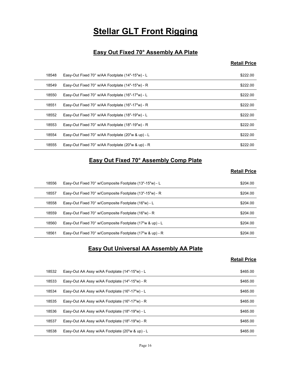# **Stellar GLT Front Rigging**

#### Easy Out Fixed 70° Assembly AA Plate

#### Retail Price

|                | <b>Stellar GLT Front Rigging</b>                                                                     |                      |
|----------------|------------------------------------------------------------------------------------------------------|----------------------|
|                |                                                                                                      |                      |
|                | Easy Out Fixed 70° Assembly AA Plate                                                                 | <b>Retail Price</b>  |
|                |                                                                                                      |                      |
| 18548<br>18549 | Easy-Out Fixed 70° w/AA Footplate (14"-15"w) - L<br>Easy-Out Fixed 70° w/AA Footplate (14"-15"w) - R | \$222.00<br>\$222.00 |
| 18550          | Easy-Out Fixed 70° w/AA Footplate (16"-17"w) - L                                                     | \$222.00             |
| 18551          | Easy-Out Fixed 70° w/AA Footplate (16"-17"w) - R                                                     | \$222.00             |
| 18552          | Easy-Out Fixed 70° w/AA Footplate (18"-19"w) - L                                                     | \$222.00             |
| 18553          | Easy-Out Fixed 70° w/AA Footplate (18"-19"w) - R                                                     | \$222.00             |
| 18554          | Easy-Out Fixed 70° w/AA Footplate (20"w & up) - L                                                    | \$222.00             |
| 18555          | Easy-Out Fixed 70° w/AA Footplate (20"w & up) - R                                                    | \$222.00             |
|                |                                                                                                      |                      |
|                | Easy Out Fixed 70° Assembly Comp Plate                                                               |                      |
|                |                                                                                                      | <b>Retail Price</b>  |
| 18556          | Easy-Out Fixed 70° w/Composite Footplate (13"-15"w) - L                                              | \$204.00             |
| 18557          | Easy-Out Fixed 70° w/Composite Footplate (13"-15"w) - R                                              | \$204.00             |
| 18558          | Easy-Out Fixed 70° w/Composite Footplate (16"w) - L                                                  | \$204.00             |
| 18559          | Easy-Out Fixed 70° w/Composite Footplate (16"w) - R                                                  | \$204.00             |
| 18560          | Easy-Out Fixed 70° w/Composite Footplate (17"w & up) - L                                             | \$204.00             |
|                | Easy-Out Fixed 70° w/Composite Footplate (17"w & up) - R                                             | \$204.00             |

#### Easy Out Fixed 70° Assembly Comp Plate

#### Retail Price

| 18551 | Easy-Out Fixed 70° w/AA Footplate (16"-17"w) - R                           | \$222.00            |
|-------|----------------------------------------------------------------------------|---------------------|
| 18552 | Easy-Out Fixed 70° w/AA Footplate (18"-19"w) - L                           | \$222.00            |
| 18553 | Easy-Out Fixed 70° w/AA Footplate (18"-19"w) - R                           | \$222.00            |
| 18554 | Easy-Out Fixed 70° w/AA Footplate (20"w & up) - L                          | \$222.00            |
| 18555 | Easy-Out Fixed 70° w/AA Footplate (20"w & up) - R                          | \$222.00            |
|       | <b>Easy Out Fixed 70° Assembly Comp Plate</b>                              | <b>Retail Price</b> |
| 18556 | Easy-Out Fixed 70° w/Composite Footplate (13"-15"w) - L                    | \$204.00            |
| 18557 | Easy-Out Fixed 70° w/Composite Footplate (13"-15"w) - R                    | \$204.00            |
| 18558 | Easy-Out Fixed 70° w/Composite Footplate (16"w) - L                        | \$204.00            |
| 18559 | Easy-Out Fixed 70° w/Composite Footplate (16"w) - R                        | \$204.00            |
| 18560 | Easy-Out Fixed 70° w/Composite Footplate (17"w & up) - L                   | \$204.00            |
| 18561 | Easy-Out Fixed 70° w/Composite Footplate (17"w & up) - R                   | \$204.00            |
|       | <b>Easy Out Universal AA Assembly AA Plate</b>                             | <b>Retail Price</b> |
| 18532 | Easy-Out AA Assy w/AA Footplate (14"-15"w) - L                             | \$465.00            |
| 18533 | Easy-Out AA Assy w/AA Footplate (14"-15"w) - R                             | \$465.00            |
| 18534 | Easy-Out AA Assy w/AA Footplate (16"-17"w) - L                             | \$465.00            |
| 18535 | Easy-Out AA Assy w/AA Footplate (16"-17"w) - R                             | \$465.00            |
| 18536 | Easy-Out AA Assy w/AA Footplate (18"-19"w) - L                             | \$465.00            |
| 18537 | $Fasev$ -Out $\Delta\Delta$ Assy $w/\Delta\Delta$ Footplate (18"-19"w) - R | A6500               |

#### Easy Out Universal AA Assembly AA Plate

| 18556 |                                                          |                     |
|-------|----------------------------------------------------------|---------------------|
|       | Easy-Out Fixed 70° w/Composite Footplate (13"-15"w) - L  | \$204.00            |
| 18557 | Easy-Out Fixed 70° w/Composite Footplate (13"-15"w) - R  | \$204.00            |
| 18558 | Easy-Out Fixed 70° w/Composite Footplate (16"w) - L      | \$204.00            |
| 18559 | Easy-Out Fixed 70° w/Composite Footplate (16"w) - R      | \$204.00            |
| 18560 | Easy-Out Fixed 70° w/Composite Footplate (17"w & up) - L | \$204.00            |
| 18561 | Easy-Out Fixed 70° w/Composite Footplate (17"w & up) - R | \$204.00            |
|       | <b>Easy Out Universal AA Assembly AA Plate</b>           | <b>Retail Price</b> |
| 18532 | Easy-Out AA Assy w/AA Footplate (14"-15"w) - L           | \$465.00            |
| 18533 | Easy-Out AA Assy w/AA Footplate (14"-15"w) - R           | \$465.00            |
| 18534 | Easy-Out AA Assy w/AA Footplate (16"-17"w) - L           | \$465.00            |
| 18535 | Easy-Out AA Assy w/AA Footplate (16"-17"w) - R           | \$465.00            |
| 18536 | Easy-Out AA Assy w/AA Footplate (18"-19"w) - L           | \$465.00            |
|       | Easy-Out AA Assy w/AA Footplate (18"-19"w) - R           | \$465.00            |
| 18537 |                                                          |                     |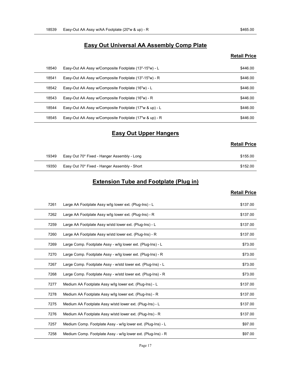# Easy-Out AA Assy w/AA Footplate (20"w & up) - R \$465.00<br>Easy Out Universal AA Assembly Comp Plate<br>Retail Price Easy Out Universal AA Assembly Comp Plate

#### Retail Price

| 18539 | Easy-Out AA Assy w/AA Footplate (20"w & up) - R         | \$465.00            |
|-------|---------------------------------------------------------|---------------------|
|       |                                                         |                     |
|       | <b>Easy Out Universal AA Assembly Comp Plate</b>        |                     |
|       |                                                         | <b>Retail Price</b> |
| 18540 | Easy-Out AA Assy w/Composite Footplate (13"-15"w) - L   | \$446.00            |
| 18541 | Easy-Out AA Assy w/Composite Footplate (13"-15"w) - R   | \$446.00            |
| 18542 | Easy-Out AA Assy w/Composite Footplate (16"w) - L       | \$446.00            |
| 18543 | Easy-Out AA Assy w/Composite Footplate (16"w) - R       | \$446.00            |
| 18544 | Easy-Out AA Assy w/Composite Footplate (17"w & up) - L  | \$446.00            |
| 18545 | Easy-Out AA Assy w/Composite Footplate (17"w & up) - R  | \$446.00            |
|       | <b>Easy Out Upper Hangers</b>                           |                     |
|       |                                                         | <b>Retail Price</b> |
| 19349 | Easy Out 70* Fixed - Hanger Assembly - Long             | \$155.00            |
| 19350 | Easy Out 70* Fixed - Hanger Assembly - Short            | \$152.00            |
|       | <b>Extension Tube and Footplate (Plug in)</b>           |                     |
|       |                                                         | <b>Retail Price</b> |
| 7261  | Large AA Footplate Assy w/lg lower ext. (Plug-Ins) - L  | \$137.00            |
| 7262  | Large AA Footplate Assy w/lg lower ext. (Plug-Ins) - R  | \$137.00            |
| 7259  | Large AA Footplate Assy w/std lower ext. (Plug-Ins) - L | \$137.00            |
| 7260  | Large AA Footplate Assy w/std lower ext (Plug-Ins) - R  | \$137.00            |

#### Easy Out Upper Hangers

| <b>Retail Price</b> |  |
|---------------------|--|
|---------------------|--|

| 19349 | Easy Out 70* Fixed - Hanger Assembly - Long  | \$155.00 |
|-------|----------------------------------------------|----------|
| 19350 | Easy Out 70* Fixed - Hanger Assembly - Short | \$152.00 |

#### Extension Tube and Footplate (Plug in)

| 18543 | Easy-Out AA Assy w/Composite Footplate (16"w) - R            | \$446.00            |
|-------|--------------------------------------------------------------|---------------------|
| 18544 | Easy-Out AA Assy w/Composite Footplate (17"w & up) - L       | \$446.00            |
| 18545 | Easy-Out AA Assy w/Composite Footplate (17"w & up) - R       | \$446.00            |
|       | <b>Easy Out Upper Hangers</b>                                |                     |
|       |                                                              |                     |
|       |                                                              | <b>Retail Price</b> |
| 19349 | Easy Out 70* Fixed - Hanger Assembly - Long                  | \$155.00            |
| 19350 | Easy Out 70* Fixed - Hanger Assembly - Short                 | \$152.00            |
|       | <b>Extension Tube and Footplate (Plug in)</b>                |                     |
|       |                                                              | <b>Retail Price</b> |
| 7261  | Large AA Footplate Assy w/lg lower ext. (Plug-Ins) - L       | \$137.00            |
| 7262  | Large AA Footplate Assy w/lg lower ext. (Plug-Ins) - R       | \$137.00            |
| 7259  | Large AA Footplate Assy w/std lower ext. (Plug-Ins) - L      | \$137.00            |
| 7260  | Large AA Footplate Assy w/std lower ext. (Plug-Ins) - R      | \$137.00            |
| 7269  | Large Comp. Footplate Assy - w/lg lower ext. (Plug-Ins) - L  | \$73.00             |
| 7270  | Large Comp. Footplate Assy - w/lg lower ext. (Plug-Ins) - R  | \$73.00             |
| 7267  | Large Comp. Footplate Assy - w/std lower ext. (Plug-Ins) - L | \$73.00             |
| 7268  | Large Comp. Footplate Assy - w/std lower ext. (Plug-Ins) - R | \$73.00             |
| 7277  | Medium AA Footplate Assy w/lg lower ext. (Plug-Ins) - L      | \$137.00            |
| 7278  | Medium AA Footplate Assy w/lg lower ext. (Plug-Ins) - R      | \$137.00            |
| 7275  | Medium AA Footplate Assy w/std lower ext. (Plug-Ins) - L     | \$137.00            |
| 7276  | Medium AA Footplate Assy w/std lower ext. (Plug-Ins) - R     | \$137.00            |
| 7257  | Medium Comp. Footplate Assy - w/lg lower ext. (Plug-Ins) - L | \$97.00             |
| 7258  | Medium Comp. Footplate Assy - w/lg lower ext. (Plug-Ins) - R | \$97.00             |
|       | Page 17                                                      |                     |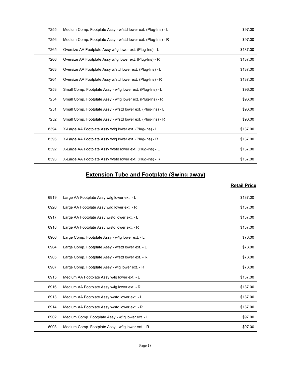| 7255 | Medium Comp. Footplate Assy - w/std lower ext. (Plug-Ins) - L | \$97.00             |
|------|---------------------------------------------------------------|---------------------|
| 7256 | Medium Comp. Footplate Assy - w/std lower ext. (Plug-Ins) - R | \$97.00             |
| 7265 | Oversize AA Footplate Assy w/lg lower ext. (Plug-Ins) - L     | \$137.00            |
| 7266 | Oversize AA Footplate Assy w/lg lower ext. (Plug-Ins) - R     | \$137.00            |
| 7263 | Oversize AA Footplate Assy w/std lower ext. (Plug-Ins) - L    | \$137.00            |
| 7264 | Oversize AA Footplate Assy w/std lower ext. (Plug-Ins) - R    | \$137.00            |
| 7253 | Small Comp. Footplate Assy - w/lg lower ext. (Plug-Ins) - L   | \$96.00             |
| 7254 | Small Comp. Footplate Assy - w/lg lower ext. (Plug-Ins) - R   | \$96.00             |
| 7251 | Small Comp. Footplate Assy - w/std lower ext. (Plug-Ins) - L  | \$96.00             |
| 7252 | Small Comp. Footplate Assy - w/std lower ext. (Plug-Ins) - R  | \$96.00             |
| 8394 | X-Large AA Footplate Assy w/lg lower ext. (Plug-Ins) - L      | \$137.00            |
| 8395 | X-Large AA Footplate Assy w/lg lower ext. (Plug-Ins) - R      | \$137.00            |
| 8392 | X-Large AA Footplate Assy w/std lower ext. (Plug-Ins) - L     | \$137.00            |
| 8393 | X-Large AA Footplate Assy w/std lower ext. (Plug-Ins) - R     | \$137.00            |
|      | <b>Extension Tube and Footplate (Swing away)</b>              |                     |
|      |                                                               | <b>Retail Price</b> |
| 6919 | Large AA Footplate Assy w/lg lower ext. - L                   | \$137.00            |
| 6920 | Large AA Footplate Assy w/lg lower ext. - R                   | \$137.00            |
| 6917 | Large AA Footplate Assy w/std lower ext. - L                  | \$137.00            |
| 6918 | Large AA Footplate Assy w/std lower ext. - R                  | \$137.00            |
| 6906 | Large Comp. Footplate Assy - w/lg lower ext. - L              | \$73.00             |
|      | Large Comp. Footplate Assy - w/std lower ext. - L<br>6904     | \$73.00             |

#### Extension Tube and Footplate (Swing away)

| 7251 | Small Comp. Footplate Assy - w/std lower ext. (Plug-Ins) - L | \$96.00             |
|------|--------------------------------------------------------------|---------------------|
| 7252 | Small Comp. Footplate Assy - w/std lower ext. (Plug-Ins) - R | \$96.00             |
| 8394 | X-Large AA Footplate Assy w/lg lower ext. (Plug-Ins) - L     | \$137.00            |
| 8395 | X-Large AA Footplate Assy w/lg lower ext. (Plug-Ins) - R     | \$137.00            |
| 8392 | X-Large AA Footplate Assy w/std lower ext. (Plug-Ins) - L    | \$137.00            |
| 8393 | X-Large AA Footplate Assy w/std lower ext. (Plug-Ins) - R    | \$137.00            |
|      | <b>Extension Tube and Footplate (Swing away)</b>             |                     |
|      |                                                              | <b>Retail Price</b> |
| 6919 | Large AA Footplate Assy w/lg lower ext. - L                  | \$137.00            |
| 6920 | Large AA Footplate Assy w/lg lower ext. - R                  | \$137.00            |
| 6917 | Large AA Footplate Assy w/std lower ext. - L                 | \$137.00            |
| 6918 | Large AA Footplate Assy w/std lower ext. - R                 | \$137.00            |
| 6906 | Large Comp. Footplate Assy - w/lg lower ext. - L             | \$73.00             |
| 6904 | Large Comp. Footplate Assy - w/std lower ext. - L            | \$73.00             |
| 6905 | Large Comp. Footplate Assy - w/std lower ext. - R            | \$73.00             |
| 6907 | Large Comp. Footplate Assy - wlg lower ext. - R              | \$73.00             |
| 6915 | Medium AA Footplate Assy w/lg lower ext. - L                 | \$137.00            |
| 6916 | Medium AA Footplate Assy w/lg lower ext. - R                 | \$137.00            |
| 6913 | Medium AA Footplate Assy w/std lower ext. - L                | \$137.00            |
| 6914 | Medium AA Footplate Assy w/std lower ext. - R                | \$137.00            |
| 6902 | Medium Comp. Footplate Assy - w/lg lower ext. - L            | \$97.00             |
| 6903 | Medium Comp. Footplate Assy - w/lg lower ext. - R            | \$97.00             |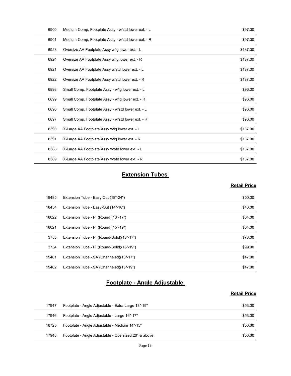| 6900  | Medium Comp. Footplate Assy - w/std lower ext. - L | \$97.00             |
|-------|----------------------------------------------------|---------------------|
| 6901  | Medium Comp. Footplate Assy - w/std lower ext. - R | \$97.00             |
| 6923  | Oversize AA Footplate Assy w/lg lower ext. - L     | \$137.00            |
| 6924  | Oversize AA Footplate Assy w/lg lower ext. - R     | \$137.00            |
| 6921  | Oversize AA Footplate Assy w/std lower ext. - L    | \$137.00            |
| 6922  | Oversize AA Footplate Assy w/std lower ext. - R    | \$137.00            |
| 6898  | Small Comp. Footplate Assy - w/lg lower ext. - L   | \$96.00             |
| 6899  | Small Comp. Footplate Assy - w/lg lower ext. - R   | \$96.00             |
| 6896  | Small Comp. Footplate Assy - w/std lower ext. - L  | \$96.00             |
| 6897  | Small Comp. Footplate Assy - w/std lower ext. - R  | \$96.00             |
| 8390  | X-Large AA Footplate Assy w/lg lower ext. - L      | \$137.00            |
| 8391  | X-Large AA Footplate Assy w/lg lower ext. - R      | \$137.00            |
| 8388  | X-Large AA Footplate Assy w/std lower ext. - L     | \$137.00            |
| 8389  | X-Large AA Footplate Assy w/std lower ext. - R     | \$137.00            |
|       | <b>Extension Tubes</b>                             |                     |
|       |                                                    | <b>Retail Price</b> |
| 18485 | Extension Tube - Easy Out (18"-24")                | \$50.00             |
| 18454 | Extension Tube - Easy-Out (14"-18")                | \$43.00             |
| 18022 | Extension Tube - PI (Round)(13"-17")               | \$34.00             |
| 18021 | Extension Tube - PI (Round)(15"-19")               | \$34.00             |
| 3753  | Extension Tube - PI (Round-Solid)(13"-17")         | \$78.00             |
| 3754  | Extension Tube - PL (Round-Solid)(15"-19")         | \$99.00             |

#### **Extension Tubes**

#### **Retail Price**

| 6896  | Small Comp. Footplate Assy - w/std lower ext. - L    | \$96.00             |
|-------|------------------------------------------------------|---------------------|
| 6897  | Small Comp. Footplate Assy - w/std lower ext. - R    | \$96.00             |
| 8390  | X-Large AA Footplate Assy w/lg lower ext. - L        | \$137.00            |
| 8391  | X-Large AA Footplate Assy w/lg lower ext. - R        | \$137.00            |
| 8388  | X-Large AA Footplate Assy w/std lower ext. - L       | \$137.00            |
| 8389  | X-Large AA Footplate Assy w/std lower ext. - R       | \$137.00            |
|       | <b>Extension Tubes</b>                               |                     |
|       |                                                      | <b>Retail Price</b> |
| 18485 | Extension Tube - Easy Out (18"-24")                  | \$50.00             |
| 18454 | Extension Tube - Easy-Out (14"-18")                  | \$43.00             |
| 18022 | Extension Tube - PI (Round)(13"-17")                 | \$34.00             |
| 18021 | Extension Tube - PI (Round)(15"-19")                 | \$34.00             |
| 3753  | Extension Tube - PI (Round-Solid)(13"-17")           | \$78.00             |
| 3754  | Extension Tube - PI (Round-Solid)(15"-19")           | \$99.00             |
| 19461 | Extension Tube - SA (Channeled)(13"-17")             | \$47.00             |
| 19462 | Extension Tube - SA (Channeled)(15"-19")             | \$47.00             |
|       | Footplate - Angle Adjustable                         |                     |
|       |                                                      | <b>Retail Price</b> |
| 17947 | Footplate - Angle Adjustable - Extra Large 18"-19"   | \$53.00             |
| 17946 | Footplate - Angle Adjustable - Large 16"-17"         | \$53.00             |
| 18725 | Footplate - Angle Adjustable - Medium 14"-15"        | \$53.00             |
| 17948 | Footplate - Angle Adjustable - Oversized 20" & above | \$53.00             |
|       | Page 19                                              |                     |

#### Footplate - Angle Adjustable

| 17947 | Footplate - Angle Adjustable - Extra Large 18"-19"   | \$53.00 |
|-------|------------------------------------------------------|---------|
| 17946 | Footplate - Angle Adjustable - Large 16"-17"         | \$53.00 |
| 18725 | Footplate - Angle Adjustable - Medium 14"-15"        | \$53.00 |
| 17948 | Footplate - Angle Adjustable - Oversized 20" & above | \$53.00 |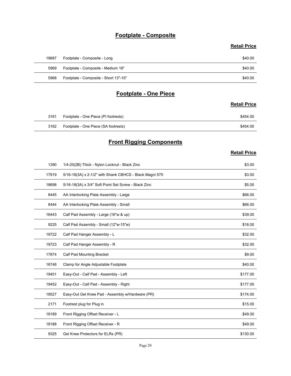#### Footplate - Composite

#### Retail Price

|       | Footplate - Composite                 |                     |
|-------|---------------------------------------|---------------------|
|       |                                       | <b>Retail Price</b> |
| 19687 | Footplate - Composite - Long          | \$40.00             |
| 5969  | Footplate - Composite - Medium 16"    | \$40.00             |
| 5968  | Footplate - Composite - Short 13"-15" | \$40.00             |
|       | <b>Footplate - One Piece</b>          |                     |
|       |                                       | <b>Retail Price</b> |
| 3161  | Footplate - One Piece (PI footrests)  | \$454.00            |
| 3162  | Footplate - One Piece (SA footrests)  | \$454.00            |
|       | <b>Front Rigging Components</b>       |                     |
|       |                                       | <b>Retail Price</b> |

#### Footplate - One Piece

#### **Retail Price**

| 3161 | Footplate - One Piece (PI footrests) | \$454.00 |
|------|--------------------------------------|----------|
| 3162 | Footplate - One Piece (SA footrests) | \$454.00 |

## **Front Rigging Components**

|       |                                                         | <b>Retail Price</b> |
|-------|---------------------------------------------------------|---------------------|
| 19687 | Footplate - Composite - Long                            | \$40.00             |
| 5969  | Footplate - Composite - Medium 16"                      | \$40.00             |
| 5968  | Footplate - Composite - Short 13"-15"                   | \$40.00             |
|       |                                                         |                     |
|       | <b>Footplate - One Piece</b>                            |                     |
|       |                                                         | <b>Retail Price</b> |
| 3161  | Footplate - One Piece (PI footrests)                    | \$454.00            |
| 3162  | Footplate - One Piece (SA footrests)                    | \$454.00            |
|       | <b>Front Rigging Components</b>                         |                     |
|       |                                                         | <b>Retail Price</b> |
| 1390  | 1/4-20(2B) Thick - Nylon Locknut - Black Zinc           | \$3.00              |
| 17919 | 5/16-18(3A) x 2-1/2" with Shank CBHCS - Black Magni 575 | \$3.00              |
| 18698 | 5/16-18(3A) x 3/4" Soft Point Set Screw - Black Zinc    | \$5.00              |
| 8445  | AA Interlocking Plate Assembly - Large                  | \$66.00             |
| 8444  | AA Interlocking Plate Assembly - Small                  | \$66.00             |
| 16443 | Calf Pad Assembly - Large (16"w & up)                   | \$39.00             |
| 9225  | Calf Pad Assembly - Small (12"w-15"w)                   | \$18.00             |
| 19722 | Calf Pad Hanger Assembly - L                            | \$32.00             |
| 19723 | Calf Pad Hanger Assembly - R                            | \$32.00             |
| 17874 | Calf Pad Mounting Bracket                               | \$9.00              |
| 16748 | Clamp for Angle Adjustable Footplate                    | \$40.00             |
| 19451 | Easy-Out - Calf Pad - Assembly - Left                   | \$177.00            |
| 19452 | Easy-Out - Calf Pad - Assembly - Right                  | \$177.00            |
| 18527 | Easy-Out Gel Knee Pad - Assembly w/Hardware (PR)        | \$174.00            |
| 2171  | Footrest plug for Plug in                               | \$15.00             |
| 18189 | Front Rigging Offset Receiver - L                       | \$49.00             |
| 18188 | Front Rigging Offset Receiver - R                       | \$49.00             |
| 9325  | Gel Knee Protectors for ELRs (PR)                       | \$130.00            |
|       | Page 20                                                 |                     |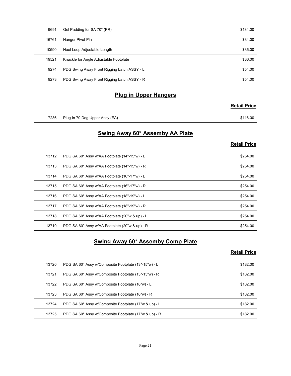| 9691  | Gel Padding for SA 70* (PR)                         | \$134.00            |
|-------|-----------------------------------------------------|---------------------|
| 16761 | Hanger Pivot Pin                                    | \$34.00             |
| 10590 | Heel Loop Adjustable Length                         | \$36.00             |
| 19521 | Knuckle for Angle Adjustable Footplate              | \$36.00             |
| 9274  |                                                     | \$54.00             |
|       | PDG Swing Away Front Rigging Latch ASSY - L         |                     |
| 9273  | PDG Swing Away Front Rigging Latch ASSY - R         | \$54.00             |
|       | <b>Plug in Upper Hangers</b>                        |                     |
|       |                                                     | <b>Retail Price</b> |
|       | 7286 Plug In 70 Deg Upper Assy (EA)                 | \$116.00            |
|       | Swing Away 60* Assemby AA Plate                     |                     |
|       |                                                     | <b>Retail Price</b> |
| 13712 | PDG SA 60° Assy w/AA Footplate (14"-15"w) - L       | \$254.00            |
| 13713 | PDG SA 60° Assy w/AA Footplate (14"-15"w) - R       | \$254.00            |
| 13714 | PDG SA 60° Assy w/AA Footplate (16"-17"w) - L       | \$254.00            |
|       | 13715 PDG SA 60° Assy w/AA Footplate (16"-17"w) - R |                     |

#### Plug in Upper Hangers

#### Retail Price

#### Swing Away 60\* Assemby AA Plate

#### Retail Price

| 10590 | Heel Loop Adjustable Length                           | \$36.00             |
|-------|-------------------------------------------------------|---------------------|
| 19521 | Knuckle for Angle Adjustable Footplate                | \$36.00             |
| 9274  | PDG Swing Away Front Rigging Latch ASSY - L           | \$54.00             |
| 9273  | PDG Swing Away Front Rigging Latch ASSY - R           | \$54.00             |
|       | <b>Plug in Upper Hangers</b>                          |                     |
|       |                                                       | <b>Retail Price</b> |
|       |                                                       |                     |
| 7286  | Plug In 70 Deg Upper Assy (EA)                        | \$116.00            |
|       | <b>Swing Away 60* Assemby AA Plate</b>                |                     |
|       |                                                       | <b>Retail Price</b> |
| 13712 | PDG SA 60° Assy w/AA Footplate (14"-15"w) - L         | \$254.00            |
| 13713 | PDG SA 60° Assy w/AA Footplate (14"-15"w) - R         | \$254.00            |
| 13714 | PDG SA 60° Assy w/AA Footplate (16"-17"w) - L         | \$254.00            |
| 13715 | PDG SA 60° Assy w/AA Footplate (16"-17"w) - R         | \$254.00            |
| 13716 | PDG SA 60° Assy w/AA Footplate (18"-19"w) - L         | \$254.00            |
| 13717 | PDG SA 60° Assy w/AA Footplate (18"-19"w) - R         | \$254.00            |
| 13718 | PDG SA 60° Assy w/AA Footplate (20"w & up) - L        | \$254.00            |
| 13719 | PDG SA 60° Assy w/AA Footplate (20"w & up) - R        | \$254.00            |
|       | <b>Swing Away 60* Assemby Comp Plate</b>              |                     |
|       |                                                       | <b>Retail Price</b> |
| 13720 | PDG SA 60° Assy w/Composite Footplate (13"-15"w) - L  | \$182.00            |
| 13721 | PDG SA 60° Assy w/Composite Footplate (13"-15"w) - R  | \$182.00            |
| 13722 | PDG SA 60° Assy w/Composite Footplate (16"w) - L      | \$182.00            |
| 13723 | PDG SA 60° Assy w/Composite Footplate (16"w) - R      | \$182.00            |
| 13724 | PDG SA 60° Assy w/Composite Footplate (17"w & up) - L | \$182.00            |
| 13725 | PDG SA 60° Assy w/Composite Footplate (17"w & up) - R | \$182.00            |

#### Swing Away 60\* Assemby Comp Plate

| 13715 | PDG SA 60° Assy w/AA Footplate (16"-17"w) - R         | \$254.00            |
|-------|-------------------------------------------------------|---------------------|
| 13716 | PDG SA 60° Assy w/AA Footplate (18"-19"w) - L         | \$254.00            |
| 13717 | PDG SA 60° Assy w/AA Footplate (18"-19"w) - R         | \$254.00            |
| 13718 | PDG SA 60° Assy w/AA Footplate (20"w & up) - L        | \$254.00            |
| 13719 | PDG SA 60° Assy w/AA Footplate (20"w & up) - R        | \$254.00            |
|       |                                                       |                     |
|       | <b>Swing Away 60* Assemby Comp Plate</b>              | <b>Retail Price</b> |
| 13720 | PDG SA 60° Assy w/Composite Footplate (13"-15"w) - L  | \$182.00            |
| 13721 | PDG SA 60° Assy w/Composite Footplate (13"-15"w) - R  | \$182.00            |
| 13722 | PDG SA 60° Assy w/Composite Footplate (16"w) - L      | \$182.00            |
| 13723 | PDG SA 60° Assy w/Composite Footplate (16"w) - R      | \$182.00            |
| 13724 | PDG SA 60° Assy w/Composite Footplate (17"w & up) - L | \$182.00            |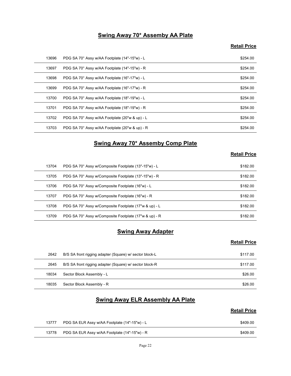#### Swing Away 70\* Assemby AA Plate

#### **Retail Price**

|       | <b>Swing Away 70* Assemby AA Plate</b>                |                     |
|-------|-------------------------------------------------------|---------------------|
|       |                                                       | <b>Retail Price</b> |
| 13696 | PDG SA 70° Assy w/AA Footplate (14"-15"w) - L         | \$254.00            |
| 13697 | PDG SA 70° Assy w/AA Footplate (14"-15"w) - R         | \$254.00            |
| 13698 | PDG SA 70° Assy w/AA Footplate (16"-17"w) - L         | \$254.00            |
| 13699 | PDG SA 70° Assy w/AA Footplate (16"-17"w) - R         | \$254.00            |
| 13700 | PDG SA 70° Assy w/AA Footplate (18"-19"w) - L         | \$254.00            |
| 13701 | PDG SA 70° Assy w/AA Footplate (18"-19"w) - R         | \$254.00            |
| 13702 | PDG SA 70° Assy w/AA Footplate (20"w & up) - L        | \$254.00            |
| 13703 | PDG SA 70° Assy w/AA Footplate (20"w & up) - R        | \$254.00            |
|       | <b>Swing Away 70* Assemby Comp Plate</b>              |                     |
|       |                                                       | <b>Retail Price</b> |
| 13704 | PDG SA 70° Assy w/Composite Footplate (13"-15"w) - L  | \$182.00            |
| 13705 | PDG SA 70° Assy w/Composite Footplate (13"-15"w) - R  | \$182.00            |
| 13706 | PDG SA 70° Assy w/Composite Footplate (16"w) - L      | \$182.00            |
| 13707 | PDG SA 70° Assy w/Composite Footplate (16"w) - R      | \$182.00            |
| 13708 | PDG SA 70° Assy w/Composite Footplate (17"w & up) - L | \$182.00            |
|       | PDG SA 70° Assy w/Composite Footplate (17"w & up) - R | \$182.00            |

#### Swing Away 70\* Assemby Comp Plate

#### Retail Price

| 13699 | PDG SA 70° Assy w/AA Footplate (16"-17"w) - R           | \$254.00            |
|-------|---------------------------------------------------------|---------------------|
| 13700 | PDG SA 70° Assy w/AA Footplate (18"-19"w) - L           | \$254.00            |
| 13701 | PDG SA 70° Assy w/AA Footplate (18"-19"w) - R           | \$254.00            |
| 13702 | PDG SA 70° Assy w/AA Footplate (20"w & up) - L          | \$254.00            |
| 13703 | PDG SA 70° Assy w/AA Footplate (20"w & up) - R          | \$254.00            |
|       | <b>Swing Away 70* Assemby Comp Plate</b>                |                     |
|       |                                                         | <b>Retail Price</b> |
| 13704 | PDG SA 70° Assy w/Composite Footplate (13"-15"w) - L    | \$182.00            |
| 13705 | PDG SA 70° Assy w/Composite Footplate (13"-15"w) - R    | \$182.00            |
| 13706 | PDG SA 70° Assy w/Composite Footplate (16"w) - L        | \$182.00            |
| 13707 | PDG SA 70° Assy w/Composite Footplate (16"w) - R        | \$182.00            |
| 13708 | PDG SA 70° Assy w/Composite Footplate (17"w & up) - L   | \$182.00            |
| 13709 | PDG SA 70° Assy w/Composite Footplate (17"w & up) - R   | \$182.00            |
|       | <b>Swing Away Adapter</b>                               |                     |
|       |                                                         | <b>Retail Price</b> |
| 2642  | B/S SA front rigging adapter (Square) w/ sector block-L | \$117.00            |
| 2645  | B/S SA front rigging adapter (Square) w/ sector block-R | \$117.00            |
| 18034 | Sector Block Assembly - L                               | \$26.00             |
|       | Sector Block Assembly - R                               | \$26.00             |

#### **Swing Away Adapter**

#### **Retail Price**

| 13708 | PDG SA 70° Assy w/Composite Footplate (17"w & up) - L   | \$182.00            |
|-------|---------------------------------------------------------|---------------------|
| 13709 | PDG SA 70° Assy w/Composite Footplate (17"w & up) - R   | \$182.00            |
|       | <b>Swing Away Adapter</b>                               |                     |
|       |                                                         | <b>Retail Price</b> |
| 2642  | B/S SA front rigging adapter (Square) w/ sector block-L | \$117.00            |
| 2645  | B/S SA front rigging adapter (Square) w/ sector block-R | \$117.00            |
| 18034 | Sector Block Assembly - L                               | \$26.00             |
| 18035 | Sector Block Assembly - R                               | \$26.00             |
|       | <b>Swing Away ELR Assembly AA Plate</b>                 | <b>Retail Price</b> |
| 13777 | PDG SA ELR Assy w/AA Footplate (14"-15"w) - L           | \$409.00            |
| 13778 | PDG SA ELR Assy w/AA Footplate (14"-15"w) - R           | \$409.00            |
|       | Page 22                                                 |                     |
|       |                                                         |                     |
|       |                                                         |                     |

#### Swing Away ELR Assembly AA Plate

| 13777 | PDG SA ELR Assy w/AA Footplate (14"-15"w) - L | \$409.00 |
|-------|-----------------------------------------------|----------|
| 13778 | PDG SA ELR Assy w/AA Footplate (14"-15"w) - R | \$409.00 |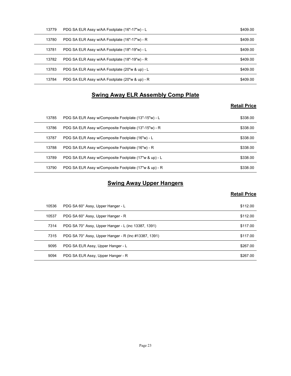| 13779          | PDG SA ELR Assy w/AA Footplate (16"-17"w) - L         | \$409.00            |
|----------------|-------------------------------------------------------|---------------------|
| 13780          | PDG SA ELR Assy w/AA Footplate (16"-17"w) - R         | \$409.00            |
| 13781          | PDG SA ELR Assy w/AA Footplate (18"-19"w) - L         | \$409.00            |
| 13782          | PDG SA ELR Assy w/AA Footplate (18"-19"w) - R         | \$409.00            |
| 13783          | PDG SA ELR Assy w/AA Footplate (20"w & up) - L        | \$409.00            |
| 13784          | PDG SA ELR Assy w/AA Footplate (20"w & up) - R        | \$409.00            |
|                | <b>Swing Away ELR Assembly Comp Plate</b>             |                     |
|                |                                                       | <b>Retail Price</b> |
| 13785          | PDG SA ELR Assy w/Composite Footplate (13"-15"w) - L  | \$338.00            |
| 13786          | PDG SA ELR Assy w/Composite Footplate (13"-15"w) - R  | \$338.00            |
| 13787          | PDG SA ELR Assy w/Composite Footplate (16"w) - L      | \$338.00            |
|                | PDG SA ELR Assy w/Composite Footplate (16"w) - R      | \$338.00            |
|                |                                                       |                     |
| 13788<br>13789 | PDG SA ELR Assy w/Composite Footplate (17"w & up) - L | \$338.00            |

#### Swing Away ELR Assembly Comp Plate

#### Retail Price

| 13779 | PDG SA ELR Assy w/AA Footplate (16"-17"w) - L         | \$409.00            |
|-------|-------------------------------------------------------|---------------------|
| 13780 | PDG SA ELR Assy w/AA Footplate (16"-17"w) - R         | \$409.00            |
| 13781 | PDG SA ELR Assy w/AA Footplate (18"-19"w) - L         | \$409.00            |
| 13782 | PDG SA ELR Assy w/AA Footplate (18"-19"w) - R         | \$409.00            |
| 13783 | PDG SA ELR Assy w/AA Footplate (20"w & up) - L        | \$409.00            |
| 13784 | PDG SA ELR Assy w/AA Footplate (20"w & up) - R        | \$409.00            |
|       | <b>Swing Away ELR Assembly Comp Plate</b>             |                     |
|       |                                                       | <b>Retail Price</b> |
| 13785 | PDG SA ELR Assy w/Composite Footplate (13"-15"w) - L  | \$338.00            |
| 13786 | PDG SA ELR Assy w/Composite Footplate (13"-15"w) - R  | \$338.00            |
| 13787 | PDG SA ELR Assy w/Composite Footplate (16"w) - L      | \$338.00            |
| 13788 | PDG SA ELR Assy w/Composite Footplate (16"w) - R      | \$338.00            |
| 13789 | PDG SA ELR Assy w/Composite Footplate (17"w & up) - L | \$338.00            |
| 13790 | PDG SA ELR Assy w/Composite Footplate (17"w & up) - R | \$338.00            |
|       | <b>Swing Away Upper Hangers</b>                       |                     |
|       |                                                       | <b>Retail Price</b> |
|       | PDG SA 60° Assy, Upper Hanger - L                     | \$112.00            |
| 10536 | PDG SA 60° Assy, Upper Hanger - R                     | \$112.00            |
| 10537 |                                                       |                     |
| 7314  | PDG SA 70° Assy, Upper Hanger - L (inc 13387, 1391)   | \$117.00            |
| 7315  | PDG SA 70° Assy, Upper Hanger - R (Inc #13387, 1391)  | \$117.00            |
| 9095  | PDG SA ELR Assy, Upper Hanger - L                     | \$267.00            |
| 9094  | PDG SA ELR Assy, Upper Hanger - R                     | \$267.00            |

### **Swing Away Upper Hangers**

| 13786 | PDG SA ELR Assy w/Composite Footplate (13"-15"w) - R  | \$338.00                        |
|-------|-------------------------------------------------------|---------------------------------|
| 13787 | PDG SA ELR Assy w/Composite Footplate (16"w) - L      | \$338.00                        |
| 13788 | PDG SA ELR Assy w/Composite Footplate (16"w) - R      | \$338.00                        |
| 13789 | PDG SA ELR Assy w/Composite Footplate (17"w & up) - L | \$338.00                        |
| 13790 | PDG SA ELR Assy w/Composite Footplate (17"w & up) - R | \$338.00                        |
|       |                                                       |                                 |
|       | <b>Swing Away Upper Hangers</b>                       |                                 |
| 10536 | PDG SA 60° Assy, Upper Hanger - L                     | <b>Retail Price</b><br>\$112.00 |
| 10537 | PDG SA 60° Assy, Upper Hanger - R                     | \$112.00                        |
| 7314  | PDG SA 70° Assy, Upper Hanger - L (inc 13387, 1391)   | \$117.00                        |
| 7315  | PDG SA 70° Assy, Upper Hanger - R (Inc #13387, 1391)  | \$117.00                        |
| 9095  | PDG SA ELR Assy, Upper Hanger - L                     | \$267.00                        |